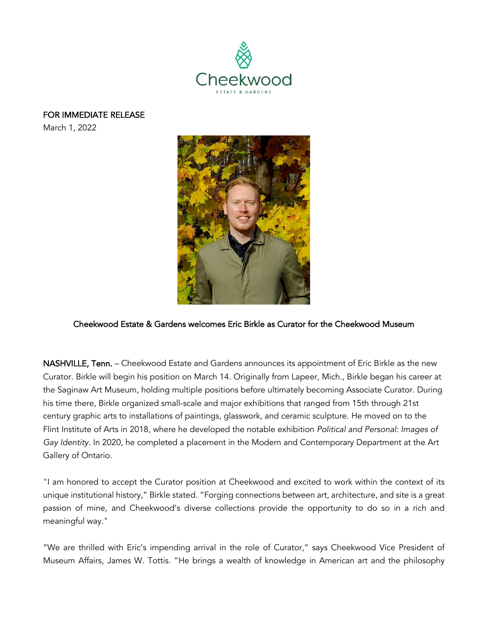

FOR IMMEDIATE RELEASE

March 1, 2022



## Cheekwood Estate & Gardens welcomes Eric Birkle as Curator for the Cheekwood Museum

NASHVILLE, Tenn. - Cheekwood Estate and Gardens announces its appointment of Eric Birkle as the new Curator. Birkle will begin his position on March 14. Originally from Lapeer, Mich., Birkle began his career at the Saginaw Art Museum, holding multiple positions before ultimately becoming Associate Curator. During his time there, Birkle organized small-scale and major exhibitions that ranged from 15th through 21st century graphic arts to installations of paintings, glasswork, and ceramic sculpture. He moved on to the Flint Institute of Arts in 2018, where he developed the notable exhibition *Political and Personal: Images of Gay Identity.* In 2020, he completed a placement in the Modern and Contemporary Department at the Art Gallery of Ontario.

"I am honored to accept the Curator position at Cheekwood and excited to work within the context of its unique institutional history," Birkle stated. "Forging connections between art, architecture, and site is a great passion of mine, and Cheekwood's diverse collections provide the opportunity to do so in a rich and meaningful way."

"We are thrilled with Eric's impending arrival in the role of Curator," says Cheekwood Vice President of Museum Affairs, James W. Tottis. "He brings a wealth of knowledge in American art and the philosophy